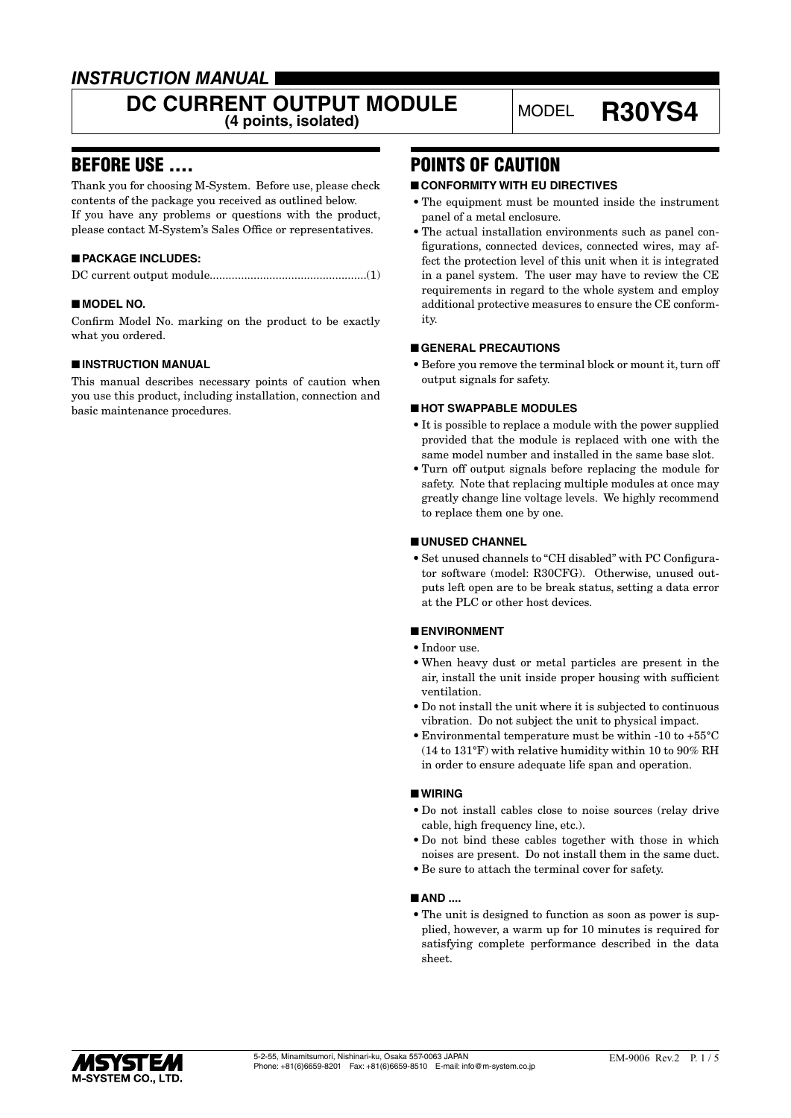### *INSTRUCTION MANUAL*

# DC CURRENT OUTPUT MODULE MODEL **R30YS4**

### BEFORE USE ....

Thank you for choosing M-System. Before use, please check contents of the package you received as outlined below. If you have any problems or questions with the product, please contact M-System's Sales Office or representatives.

### ■ **PACKAGE INCLUDES:**

|--|--|

### ■ **MODEL NO.**

Confirm Model No. marking on the product to be exactly what you ordered.

### ■ **INSTRUCTION MANUAL**

This manual describes necessary points of caution when you use this product, including installation, connection and basic maintenance procedures.

### POINTS OF CAUTION

### ■ **CONFORMITY WITH EU DIRECTIVES**

- The equipment must be mounted inside the instrument panel of a metal enclosure.
- The actual installation environments such as panel configurations, connected devices, connected wires, may affect the protection level of this unit when it is integrated in a panel system. The user may have to review the CE requirements in regard to the whole system and employ additional protective measures to ensure the CE conformity.

### ■ **GENERAL PRECAUTIONS**

• Before you remove the terminal block or mount it, turn off output signals for safety.

### ■ **HOT SWAPPABLE MODULES**

- It is possible to replace a module with the power supplied provided that the module is replaced with one with the same model number and installed in the same base slot.
- Turn off output signals before replacing the module for safety. Note that replacing multiple modules at once may greatly change line voltage levels. We highly recommend to replace them one by one.

### ■ **UNUSED CHANNEL**

• Set unused channels to "CH disabled" with PC Configurator software (model: R30CFG). Otherwise, unused outputs left open are to be break status, setting a data error at the PLC or other host devices.

### ■ **ENVIRONMENT**

- Indoor use.
- When heavy dust or metal particles are present in the air, install the unit inside proper housing with sufficient ventilation.
- Do not install the unit where it is subjected to continuous vibration. Do not subject the unit to physical impact.
- Environmental temperature must be within -10 to +55°C (14 to 131°F) with relative humidity within 10 to 90% RH in order to ensure adequate life span and operation.

### ■ **WIRING**

- Do not install cables close to noise sources (relay drive cable, high frequency line, etc.).
- Do not bind these cables together with those in which noises are present. Do not install them in the same duct.
- Be sure to attach the terminal cover for safety.

### ■ **AND** ....

• The unit is designed to function as soon as power is supplied, however, a warm up for 10 minutes is required for satisfying complete performance described in the data sheet.

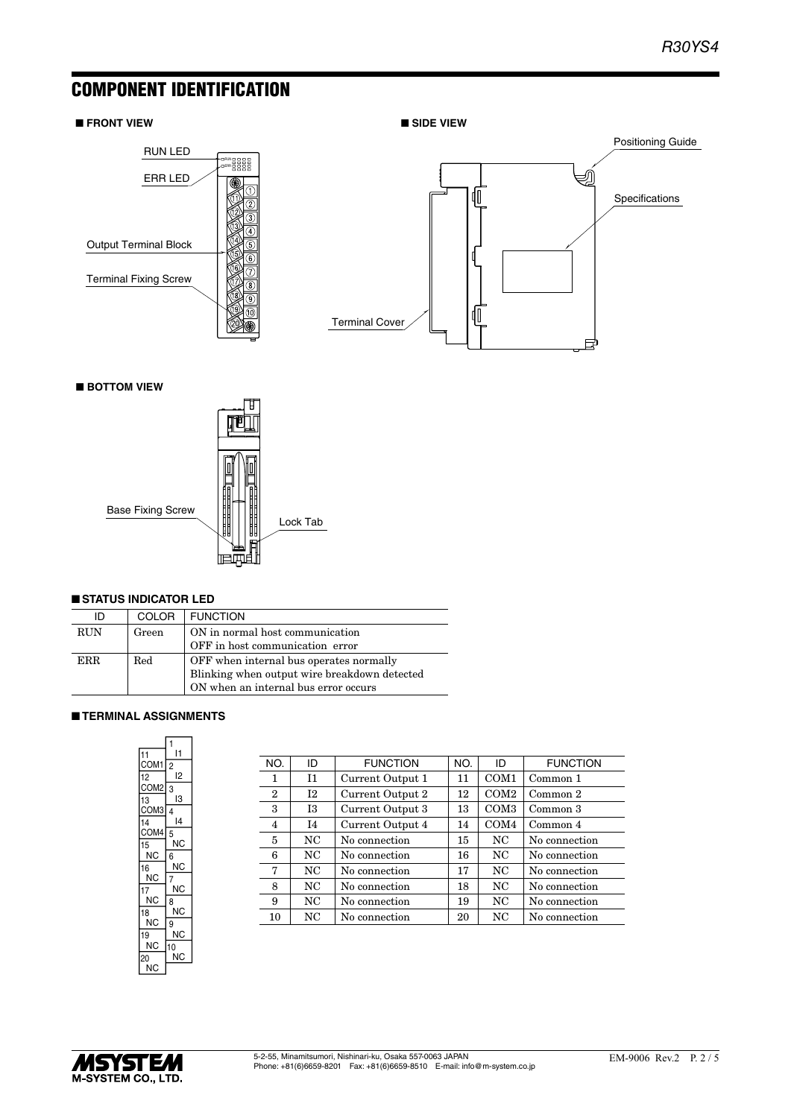### COMPONENT IDENTIFICATION

#### ■ **FRONT VIEW**





■ **BOTTOM VIEW**



#### ■ **STATUS INDICATOR LED**

| ID         | <b>COLOR</b> | <b>FUNCTION</b>                              |  |
|------------|--------------|----------------------------------------------|--|
| <b>RUN</b> | Green        | ON in normal host communication              |  |
|            |              | OFF in host communication error              |  |
| ERR.       | Red          | OFF when internal bus operates normally      |  |
|            |              | Blinking when output wire breakdown detected |  |
|            |              | ON when an internal bus error occurs         |  |

### ■ **TERMINAL ASSIGNMENTS**

|                  | 1              |
|------------------|----------------|
| 11               | 11             |
| COM <sub>1</sub> | $\overline{2}$ |
| 12               | I2             |
| COM <sub>2</sub> | 3              |
| 13               | IЗ             |
| COM3             | $\overline{4}$ |
| 14               | 14             |
| COM4             | 5              |
| 15               | ΝC             |
| ΝC               | 6              |
| 16               | ΝC             |
| ΝC               | 7              |
| 17               | ΝC             |
| ΝC               | 8              |
| 18               | ΝC             |
| ΝC               | 9              |
| 19               | ΝC             |
| ΝC               | 10             |
| 20               | ΝC             |
| ΝC               |                |

| NO.                                                  | ID                  | <b>FUNCTION</b>  | NO.              | ID               | <b>FUNCTION</b> |
|------------------------------------------------------|---------------------|------------------|------------------|------------------|-----------------|
| Ι1<br>Current Output 1<br>1                          |                     | 11               | COM <sub>1</sub> | Common 1         |                 |
| $\overline{2}$                                       | 12                  | Current Output 2 | 12               | COM <sub>2</sub> | Common 2        |
| 3                                                    | 13                  | Current Output 3 |                  | COM <sub>3</sub> | Common 3        |
| Current Output 4<br>$\overline{4}$<br>I <sub>4</sub> |                     | 14               | COM <sub>4</sub> | Common 4         |                 |
| 5                                                    | NC                  | No connection    | 15               | NC               | No connection   |
| 6                                                    | NC<br>No connection |                  | 16               | NC               | No connection   |
| 7                                                    | NC                  | No connection    | 17               | N <sub>C</sub>   | No connection   |
| 8                                                    | NC                  | No connection    | 18               | N <sub>C</sub>   | No connection   |
| 9                                                    | NC                  | No connection    | 19               | N <sub>C</sub>   | No connection   |
| 10                                                   | NC                  | No connection    | 20               | NC               | No connection   |
|                                                      |                     |                  |                  |                  |                 |

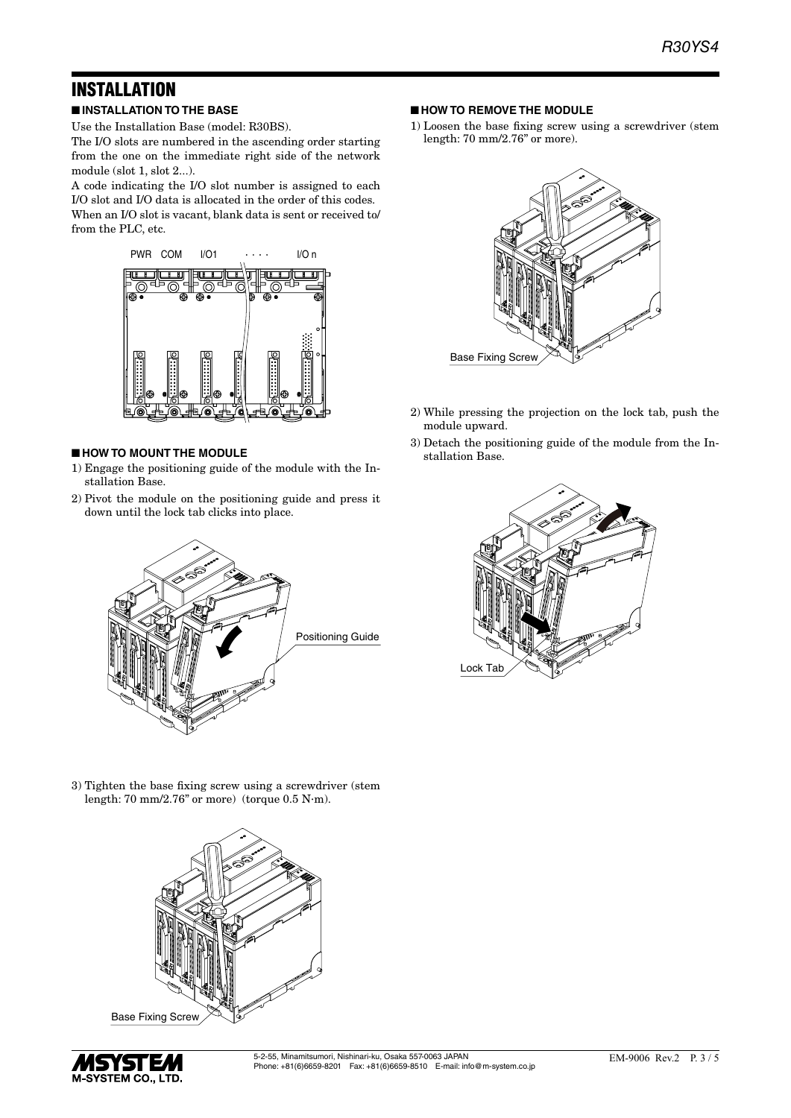## INSTALLATION

■ **INSTALLATION TO THE BASE**

Use the Installation Base (model: R30BS).

The I/O slots are numbered in the ascending order starting from the one on the immediate right side of the network module (slot 1, slot 2...).

A code indicating the I/O slot number is assigned to each I/O slot and I/O data is allocated in the order of this codes. When an I/O slot is vacant, blank data is sent or received to/ from the PLC, etc.



### ■ **HOW TO MOUNT THE MODULE**

- 1) Engage the positioning guide of the module with the Installation Base.
- 2) Pivot the module on the positioning guide and press it down until the lock tab clicks into place.



- **HOW TO REMOVE THE MODULE**
- 1) Loosen the base fixing screw using a screwdriver (stem length: 70 mm/2.76" or more).



- 2) While pressing the projection on the lock tab, push the module upward.
- 3) Detach the positioning guide of the module from the Installation Base.



3) Tighten the base fixing screw using a screwdriver (stem length: 70 mm/2.76" or more) (torque 0.5 N·m).



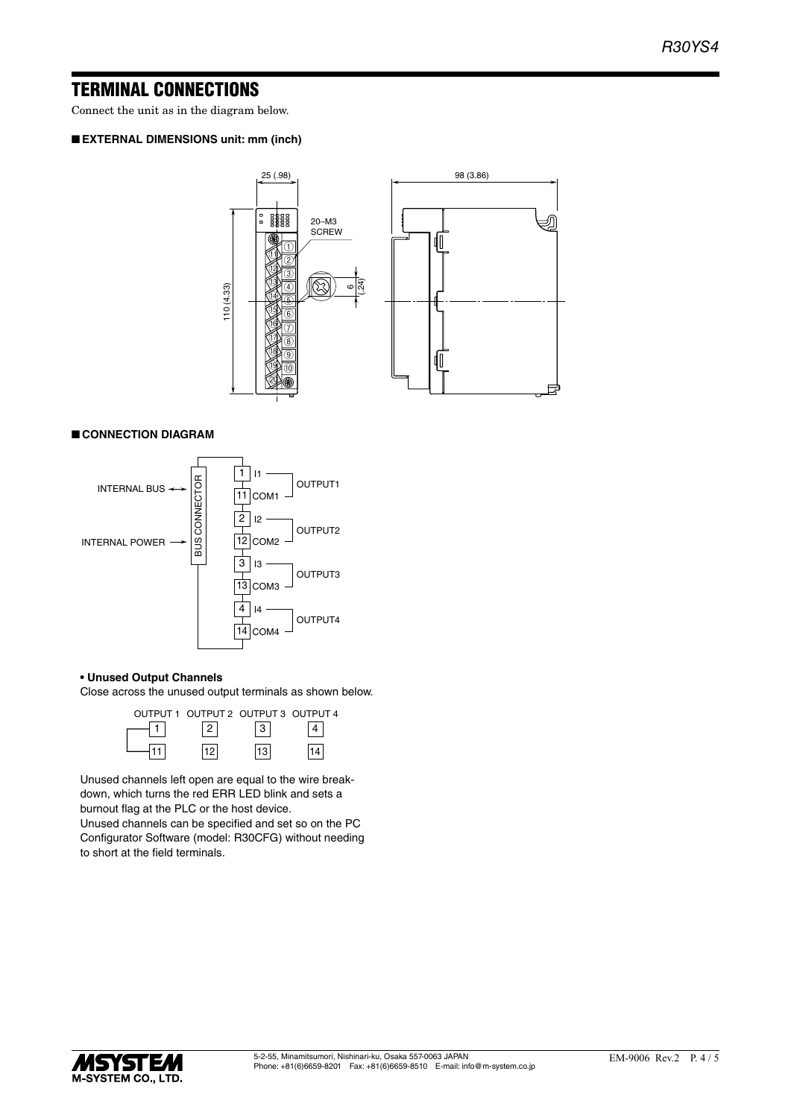### TERMINAL CONNECTIONS

Connect the unit as in the diagram below.

### ■ **EXTERNAL DIMENSIONS unit: mm (inch)**



### ■ **CONNECTION DIAGRAM**



#### **• Unused Output Channels**

Close across the unused output terminals as shown below.



Unused channels left open are equal to the wire breakdown, which turns the red ERR LED blink and sets a burnout flag at the PLC or the host device.

Unused channels can be specified and set so on the PC Configurator Software (model: R30CFG) without needing to short at the field terminals.